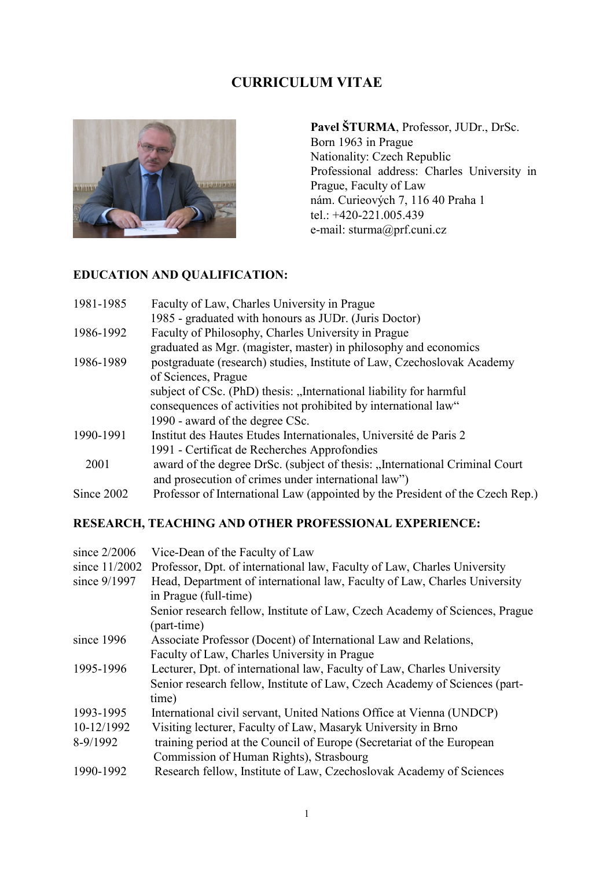## **CURRICULUM VITAE**



**Pavel ŠTURMA**, Professor, JUDr., DrSc. Born 1963 in Prague Nationality: Czech Republic Professional address: Charles University in Prague, Faculty of Law nám. Curieových 7, 116 40 Praha 1 tel.: +420-221.005.439 e-mail: sturma@prf.cuni.cz

# **EDUCATION AND QUALIFICATION:**

| 1981-1985  | Faculty of Law, Charles University in Prague                                  |
|------------|-------------------------------------------------------------------------------|
|            | 1985 - graduated with honours as JUDr. (Juris Doctor)                         |
| 1986-1992  | Faculty of Philosophy, Charles University in Prague                           |
|            | graduated as Mgr. (magister, master) in philosophy and economics              |
| 1986-1989  | postgraduate (research) studies, Institute of Law, Czechoslovak Academy       |
|            | of Sciences, Prague                                                           |
|            | subject of CSc. (PhD) thesis: "International liability for harmful            |
|            | consequences of activities not prohibited by international law"               |
|            | 1990 - award of the degree CSc.                                               |
| 1990-1991  | Institut des Hautes Etudes Internationales, Université de Paris 2             |
|            | 1991 - Certificat de Recherches Approfondies                                  |
| 2001       | award of the degree DrSc. (subject of thesis: "International Criminal Court   |
|            | and prosecution of crimes under international law")                           |
| Since 2002 | Professor of International Law (appointed by the President of the Czech Rep.) |

## **RESEARCH, TEACHING AND OTHER PROFESSIONAL EXPERIENCE:**

| Vice-Dean of the Faculty of Law                                             |
|-----------------------------------------------------------------------------|
| Professor, Dpt. of international law, Faculty of Law, Charles University    |
| Head, Department of international law, Faculty of Law, Charles University   |
| in Prague (full-time)                                                       |
| Senior research fellow, Institute of Law, Czech Academy of Sciences, Prague |
| (part-time)                                                                 |
| Associate Professor (Docent) of International Law and Relations,            |
| Faculty of Law, Charles University in Prague                                |
| Lecturer, Dpt. of international law, Faculty of Law, Charles University     |
| Senior research fellow, Institute of Law, Czech Academy of Sciences (part-  |
| time)                                                                       |
| International civil servant, United Nations Office at Vienna (UNDCP)        |
| Visiting lecturer, Faculty of Law, Masaryk University in Brno               |
| training period at the Council of Europe (Secretariat of the European       |
| Commission of Human Rights), Strasbourg                                     |
| Research fellow, Institute of Law, Czechoslovak Academy of Sciences         |
|                                                                             |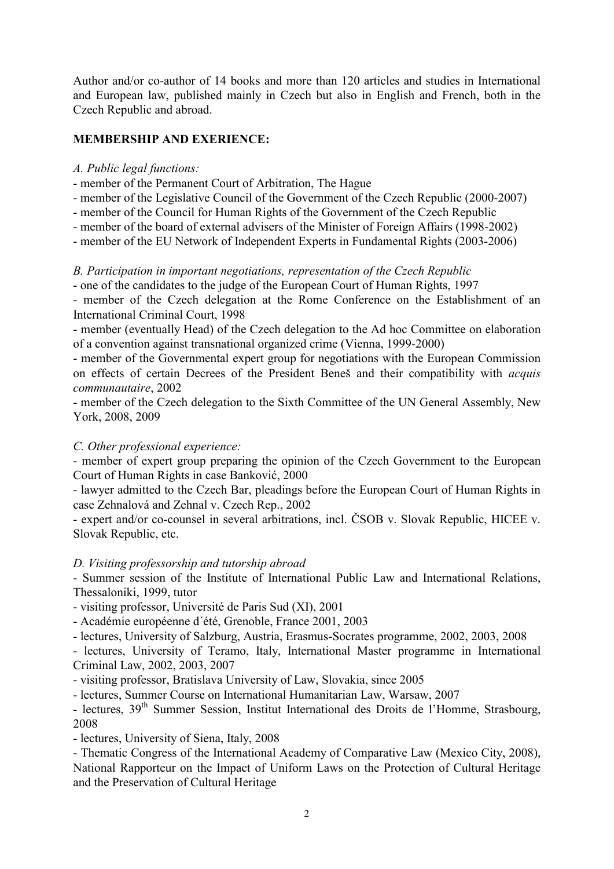Author and/or co-author of 14 books and more than 120 articles and studies in International and European law, published mainly in Czech but also in English and French, both in the Czech Republic and abroad.

## **MEMBERSHIP AND EXERIENCE:**

#### *A. Public legal functions:*

- member of the Permanent Court of Arbitration, The Hague
- member of the Legislative Council of the Government of the Czech Republic (2000-2007)
- member of the Council for Human Rights of the Government of the Czech Republic
- member of the board of external advisers of the Minister of Foreign Affairs (1998-2002)
- member of the EU Network of Independent Experts in Fundamental Rights (2003-2006)

## *B. Participation in important negotiations, representation of the Czech Republic*

- one of the candidates to the judge of the European Court of Human Rights, 1997

- member of the Czech delegation at the Rome Conference on the Establishment of an International Criminal Court, 1998

- member (eventually Head) of the Czech delegation to the Ad hoc Committee on elaboration of a convention against transnational organized crime (Vienna, 1999-2000)

- member of the Governmental expert group for negotiations with the European Commission on effects of certain Decrees of the President Beneš and their compatibility with *acquis communautaire*, 2002

- member of the Czech delegation to the Sixth Committee of the UN General Assembly, New York, 2008, 2009

#### *C. Other professional experience:*

- member of expert group preparing the opinion of the Czech Government to the European Court of Human Rights in case Banković, 2000

- lawyer admitted to the Czech Bar, pleadings before the European Court of Human Rights in case Zehnalová and Zehnal v. Czech Rep., 2002

- expert and/or co-counsel in several arbitrations, incl. ČSOB v. Slovak Republic, HICEE v. Slovak Republic, etc.

#### *D. Visiting professorship and tutorship abroad*

- Summer session of the Institute of International Public Law and International Relations, Thessaloniki, 1999, tutor

- visiting professor, Université de Paris Sud (XI), 2001

- Académie européenne d´été, Grenoble, France 2001, 2003

- lectures, University of Salzburg, Austria, Erasmus-Socrates programme, 2002, 2003, 2008

- lectures, University of Teramo, Italy, International Master programme in International Criminal Law, 2002, 2003, 2007

- visiting professor, Bratislava University of Law, Slovakia, since 2005

- lectures, Summer Course on International Humanitarian Law, Warsaw, 2007

- lectures, 39<sup>th</sup> Summer Session, Institut International des Droits de l'Homme, Strasbourg, 2008

- lectures, University of Siena, Italy, 2008

- Thematic Congress of the International Academy of Comparative Law (Mexico City, 2008), National Rapporteur on the Impact of Uniform Laws on the Protection of Cultural Heritage and the Preservation of Cultural Heritage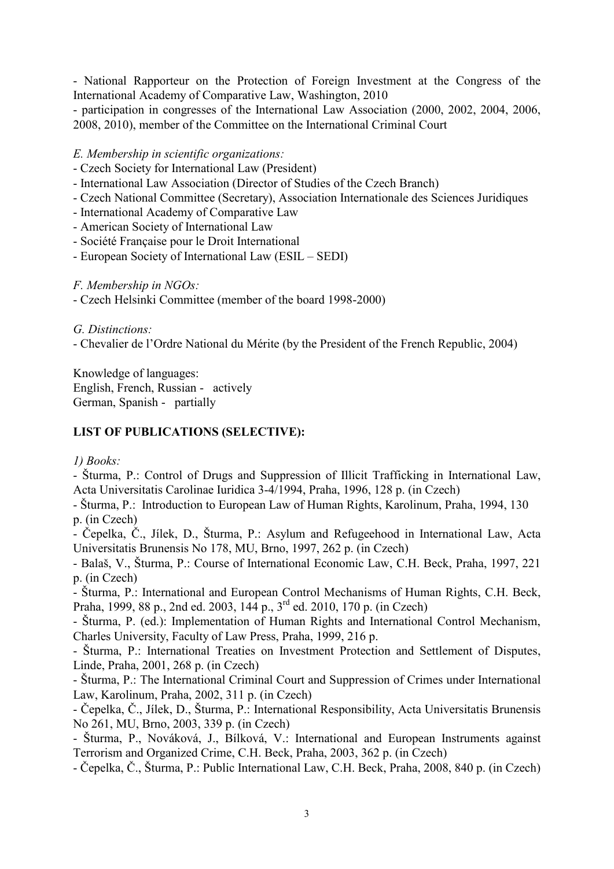- National Rapporteur on the Protection of Foreign Investment at the Congress of the International Academy of Comparative Law, Washington, 2010

- participation in congresses of the International Law Association (2000, 2002, 2004, 2006, 2008, 2010), member of the Committee on the International Criminal Court

*E. Membership in scientific organizations:*

- Czech Society for International Law (President)
- International Law Association (Director of Studies of the Czech Branch)
- Czech National Committee (Secretary), Association Internationale des Sciences Juridiques
- International Academy of Comparative Law
- American Society of International Law
- Société Française pour le Droit International
- European Society of International Law (ESIL SEDI)

*F. Membership in NGOs:*

- Czech Helsinki Committee (member of the board 1998-2000)

*G. Distinctions:*

- Chevalier de l'Ordre National du Mérite (by the President of the French Republic, 2004)

Knowledge of languages: English, French, Russian - actively German, Spanish - partially

#### **LIST OF PUBLICATIONS (SELECTIVE):**

*1) Books:*

- Šturma, P.: Control of Drugs and Suppression of Illicit Trafficking in International Law, Acta Universitatis Carolinae Iuridica 3-4/1994, Praha, 1996, 128 p. (in Czech)

- Šturma, P.: Introduction to European Law of Human Rights, Karolinum, Praha, 1994, 130 p. (in Czech)

- Čepelka, Č., Jílek, D., Šturma, P.: Asylum and Refugeehood in International Law, Acta Universitatis Brunensis No 178, MU, Brno, 1997, 262 p. (in Czech)

- Balaš, V., Šturma, P.: Course of International Economic Law, C.H. Beck, Praha, 1997, 221 p. (in Czech)

- Šturma, P.: International and European Control Mechanisms of Human Rights, C.H. Beck, Praha, 1999, 88 p., 2nd ed. 2003, 144 p., 3rd ed. 2010, 170 p. (in Czech)

- Šturma, P. (ed.): Implementation of Human Rights and International Control Mechanism, Charles University, Faculty of Law Press, Praha, 1999, 216 p.

- Šturma, P.: International Treaties on Investment Protection and Settlement of Disputes, Linde, Praha, 2001, 268 p. (in Czech)

- Šturma, P.: The International Criminal Court and Suppression of Crimes under International Law, Karolinum, Praha, 2002, 311 p. (in Czech)

- Čepelka, Č., Jílek, D., Šturma, P.: International Responsibility, Acta Universitatis Brunensis No 261, MU, Brno, 2003, 339 p. (in Czech)

- Šturma, P., Nováková, J., Bílková, V.: International and European Instruments against Terrorism and Organized Crime, C.H. Beck, Praha, 2003, 362 p. (in Czech)

- Čepelka, Č., Šturma, P.: Public International Law, C.H. Beck, Praha, 2008, 840 p. (in Czech)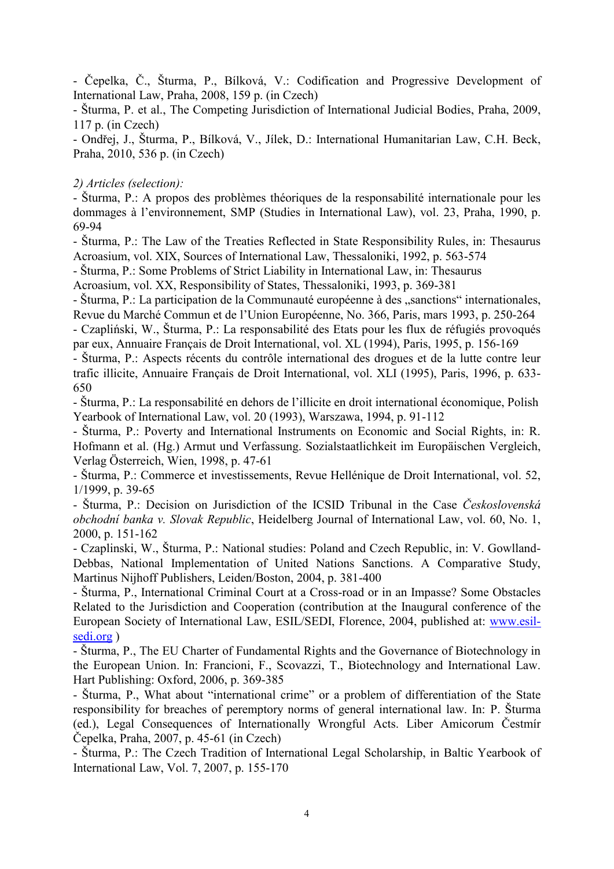- Čepelka, Č., Šturma, P., Bílková, V.: Codification and Progressive Development of International Law, Praha, 2008, 159 p. (in Czech)

- Šturma, P. et al., The Competing Jurisdiction of International Judicial Bodies, Praha, 2009, 117 p. (in Czech)

- Ondřej, J., Šturma, P., Bílková, V., Jílek, D.: International Humanitarian Law, C.H. Beck, Praha, 2010, 536 p. (in Czech)

#### *2) Articles (selection):*

- Šturma, P.: A propos des problèmes théoriques de la responsabilité internationale pour les dommages à l'environnement, SMP (Studies in International Law), vol. 23, Praha, 1990, p. 69-94

- Šturma, P.: The Law of the Treaties Reflected in State Responsibility Rules, in: Thesaurus Acroasium, vol. XIX, Sources of International Law, Thessaloniki, 1992, p. 563-574

- Šturma, P.: Some Problems of Strict Liability in International Law, in: Thesaurus

Acroasium, vol. XX, Responsibility of States, Thessaloniki, 1993, p. 369-381

- Šturma, P.: La participation de la Communauté européenne à des "sanctions" internationales, Revue du Marché Commun et de l'Union Européenne, No. 366, Paris, mars 1993, p. 250-264

- Czapliński, W., Šturma, P.: La responsabilité des Etats pour les flux de réfugiés provoqués par eux, Annuaire Français de Droit International, vol. XL (1994), Paris, 1995, p. 156-169

- Šturma, P.: Aspects récents du contrôle international des drogues et de la lutte contre leur trafic illicite, Annuaire Français de Droit International, vol. XLI (1995), Paris, 1996, p. 633- 650

- Šturma, P.: La responsabilité en dehors de l'illicite en droit international économique, Polish Yearbook of International Law, vol. 20 (1993), Warszawa, 1994, p. 91-112

- Šturma, P.: Poverty and International Instruments on Economic and Social Rights, in: R. Hofmann et al. (Hg.) Armut und Verfassung. Sozialstaatlichkeit im Europäischen Vergleich, Verlag Österreich, Wien, 1998, p. 47-61

- Šturma, P.: Commerce et investissements, Revue Hellénique de Droit International, vol. 52, 1/1999, p. 39-65

- Šturma, P.: Decision on Jurisdiction of the ICSID Tribunal in the Case *Československá obchodní banka v. Slovak Republic*, Heidelberg Journal of International Law, vol. 60, No. 1, 2000, p. 151-162

- Czaplinski, W., Šturma, P.: National studies: Poland and Czech Republic, in: V. Gowlland-Debbas, National Implementation of United Nations Sanctions. A Comparative Study, Martinus Nijhoff Publishers, Leiden/Boston, 2004, p. 381-400

- Šturma, P., International Criminal Court at a Cross-road or in an Impasse? Some Obstacles Related to the Jurisdiction and Cooperation (contribution at the Inaugural conference of the European Society of International Law, ESIL/SEDI, Florence, 2004, published at: [www.esil](http://www.esil-sedi.org/)[sedi.org](http://www.esil-sedi.org/) )

- Šturma, P., The EU Charter of Fundamental Rights and the Governance of Biotechnology in the European Union. In: Francioni, F., Scovazzi, T., Biotechnology and International Law. Hart Publishing: Oxford, 2006, p. 369-385

- Šturma, P., What about "international crime" or a problem of differentiation of the State responsibility for breaches of peremptory norms of general international law. In: P. Šturma (ed.), Legal Consequences of Internationally Wrongful Acts. Liber Amicorum Čestmír Čepelka, Praha, 2007, p. 45-61 (in Czech)

- Šturma, P.: The Czech Tradition of International Legal Scholarship, in Baltic Yearbook of International Law, Vol. 7, 2007, p. 155-170